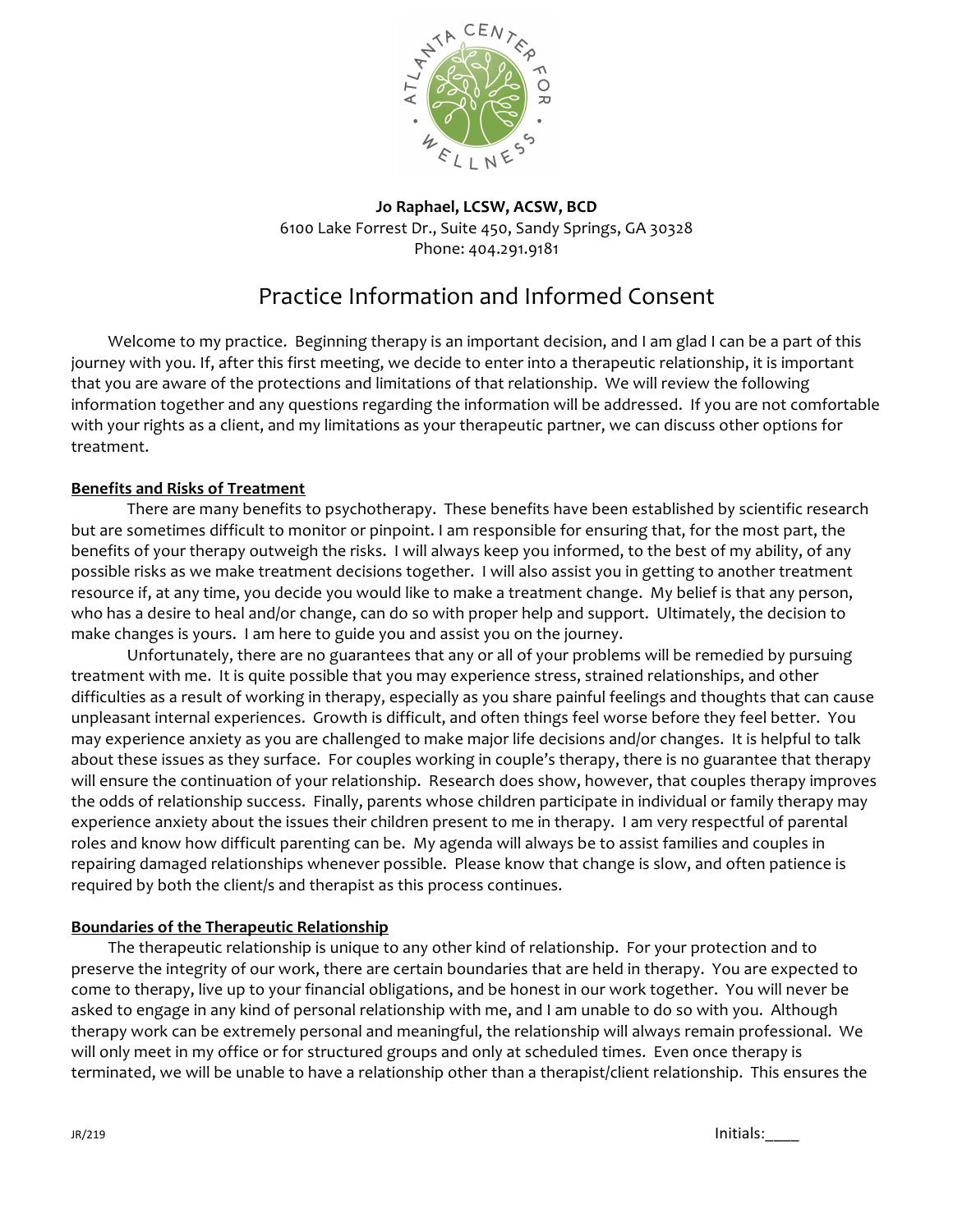

**Jo Raphael, LCSW, ACSW, BCD** 6100 Lake Forrest Dr., Suite 450, Sandy Springs, GA 30328 Phone: 404.291.9181

# Practice Information and Informed Consent

Welcome to my practice. Beginning therapy is an important decision, and I am glad I can be a part of this journey with you. If, after this first meeting, we decide to enter into a therapeutic relationship, it is important that you are aware of the protections and limitations of that relationship. We will review the following information together and any questions regarding the information will be addressed. If you are not comfortable with your rights as a client, and my limitations as your therapeutic partner, we can discuss other options for treatment.

## **Benefits and Risks of Treatment**

There are many benefits to psychotherapy. These benefits have been established by scientific research but are sometimes difficult to monitor or pinpoint. I am responsible for ensuring that, for the most part, the benefits of your therapy outweigh the risks. I will always keep you informed, to the best of my ability, of any possible risks as we make treatment decisions together. I will also assist you in getting to another treatment resource if, at any time, you decide you would like to make a treatment change. My belief is that any person, who has a desire to heal and/or change, can do so with proper help and support. Ultimately, the decision to make changes is yours. I am here to guide you and assist you on the journey.

Unfortunately, there are no guarantees that any or all of your problems will be remedied by pursuing treatment with me. It is quite possible that you may experience stress, strained relationships, and other difficulties as a result of working in therapy, especially as you share painful feelings and thoughts that can cause unpleasant internal experiences. Growth is difficult, and often things feel worse before they feel better. You may experience anxiety as you are challenged to make major life decisions and/or changes. It is helpful to talk about these issues as they surface. For couples working in couple's therapy, there is no guarantee that therapy will ensure the continuation of your relationship. Research does show, however, that couples therapy improves the odds of relationship success. Finally, parents whose children participate in individual or family therapy may experience anxiety about the issues their children present to me in therapy. I am very respectful of parental roles and know how difficult parenting can be. My agenda will always be to assist families and couples in repairing damaged relationships whenever possible. Please know that change is slow, and often patience is required by both the client/s and therapist as this process continues.

#### **Boundaries of the Therapeutic Relationship**

 The therapeutic relationship is unique to any other kind of relationship. For your protection and to preserve the integrity of our work, there are certain boundaries that are held in therapy. You are expected to come to therapy, live up to your financial obligations, and be honest in our work together. You will never be asked to engage in any kind of personal relationship with me, and I am unable to do so with you. Although therapy work can be extremely personal and meaningful, the relationship will always remain professional. We will only meet in my office or for structured groups and only at scheduled times. Even once therapy is terminated, we will be unable to have a relationship other than a therapist/client relationship. This ensures the

JR/219 Initials:\_\_\_\_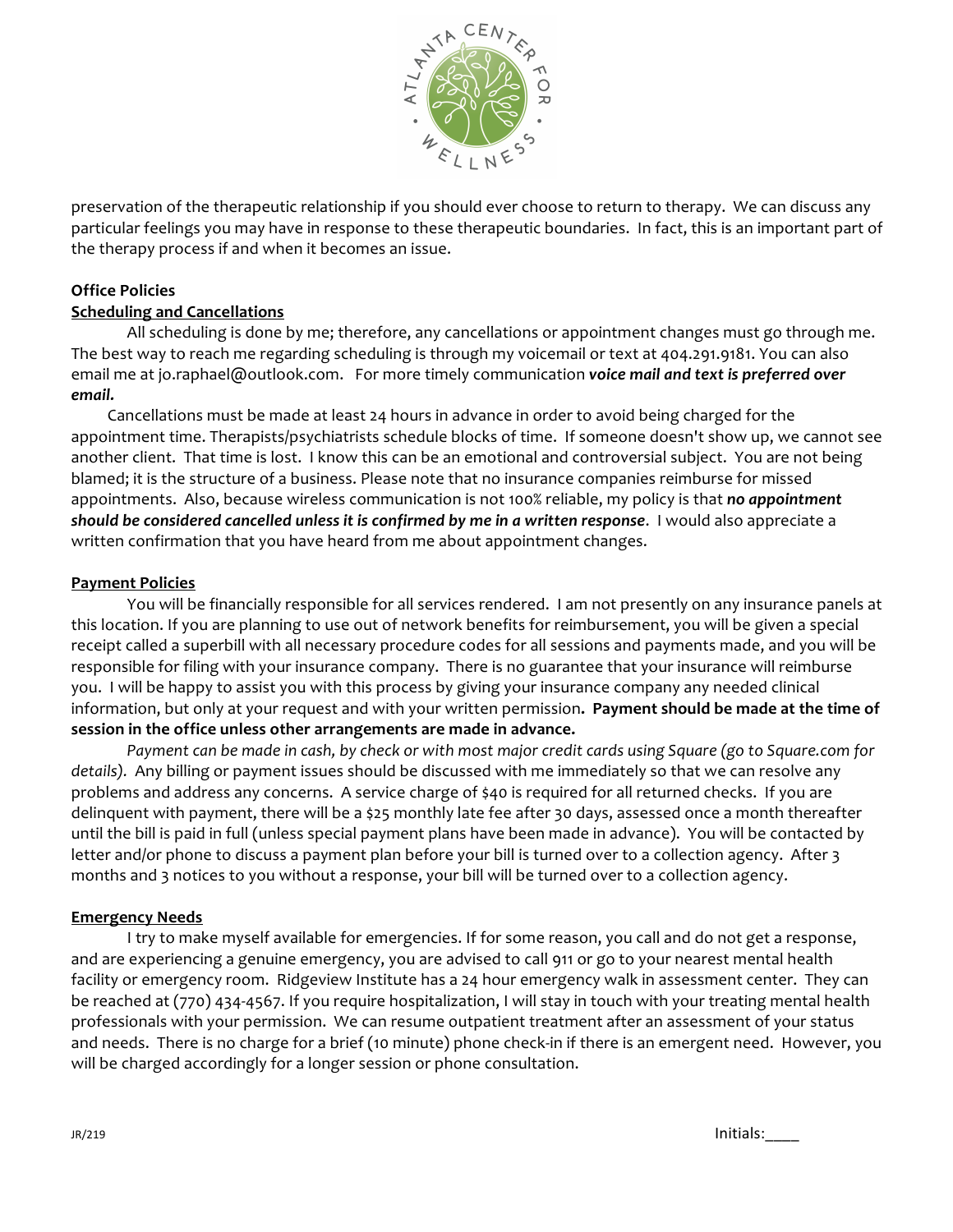

preservation of the therapeutic relationship if you should ever choose to return to therapy. We can discuss any particular feelings you may have in response to these therapeutic boundaries. In fact, this is an important part of the therapy process if and when it becomes an issue.

## **Office Policies**

## **Scheduling and Cancellations**

All scheduling is done by me; therefore, any cancellations or appointment changes must go through me. The best way to reach me regarding scheduling is through my voicemail or text at 404.291.9181. You can also email me at jo.raphael@outlook.com. For more timely communication *voice mail and text is preferred over email.*

Cancellations must be made at least 24 hours in advance in order to avoid being charged for the appointment time. Therapists/psychiatrists schedule blocks of time. If someone doesn't show up, we cannot see another client. That time is lost. I know this can be an emotional and controversial subject. You are not being blamed; it is the structure of a business. Please note that no insurance companies reimburse for missed appointments. Also, because wireless communication is not 100% reliable, my policy is that *no appointment should be considered cancelled unless it is confirmed by me in a written response*. I would also appreciate a written confirmation that you have heard from me about appointment changes.

## **Payment Policies**

You will be financially responsible for all services rendered. I am not presently on any insurance panels at this location. If you are planning to use out of network benefits for reimbursement, you will be given a special receipt called a superbill with all necessary procedure codes for all sessions and payments made, and you will be responsible for filing with your insurance company. There is no guarantee that your insurance will reimburse you. I will be happy to assist you with this process by giving your insurance company any needed clinical information, but only at your request and with your written permission**. Payment should be made at the time of session in the office unless other arrangements are made in advance.**

Payment can be made in cash, by check or with most major credit cards using Square (go to Square.com for *details).* Any billing or payment issues should be discussed with me immediately so that we can resolve any problems and address any concerns. A service charge of \$40 is required for all returned checks. If you are delinquent with payment, there will be a \$25 monthly late fee after 30 days, assessed once a month thereafter until the bill is paid in full (unless special payment plans have been made in advance). You will be contacted by letter and/or phone to discuss a payment plan before your bill is turned over to a collection agency. After 3 months and 3 notices to you without a response, your bill will be turned over to a collection agency.

#### **Emergency Needs**

I try to make myself available for emergencies. If for some reason, you call and do not get a response, and are experiencing a genuine emergency, you are advised to call 911 or go to your nearest mental health facility or emergency room. Ridgeview Institute has a 24 hour emergency walk in assessment center. They can be reached at (770) 434-4567. If you require hospitalization, I will stay in touch with your treating mental health professionals with your permission. We can resume outpatient treatment after an assessment of your status and needs. There is no charge for a brief (10 minute) phone check-in if there is an emergent need. However, you will be charged accordingly for a longer session or phone consultation.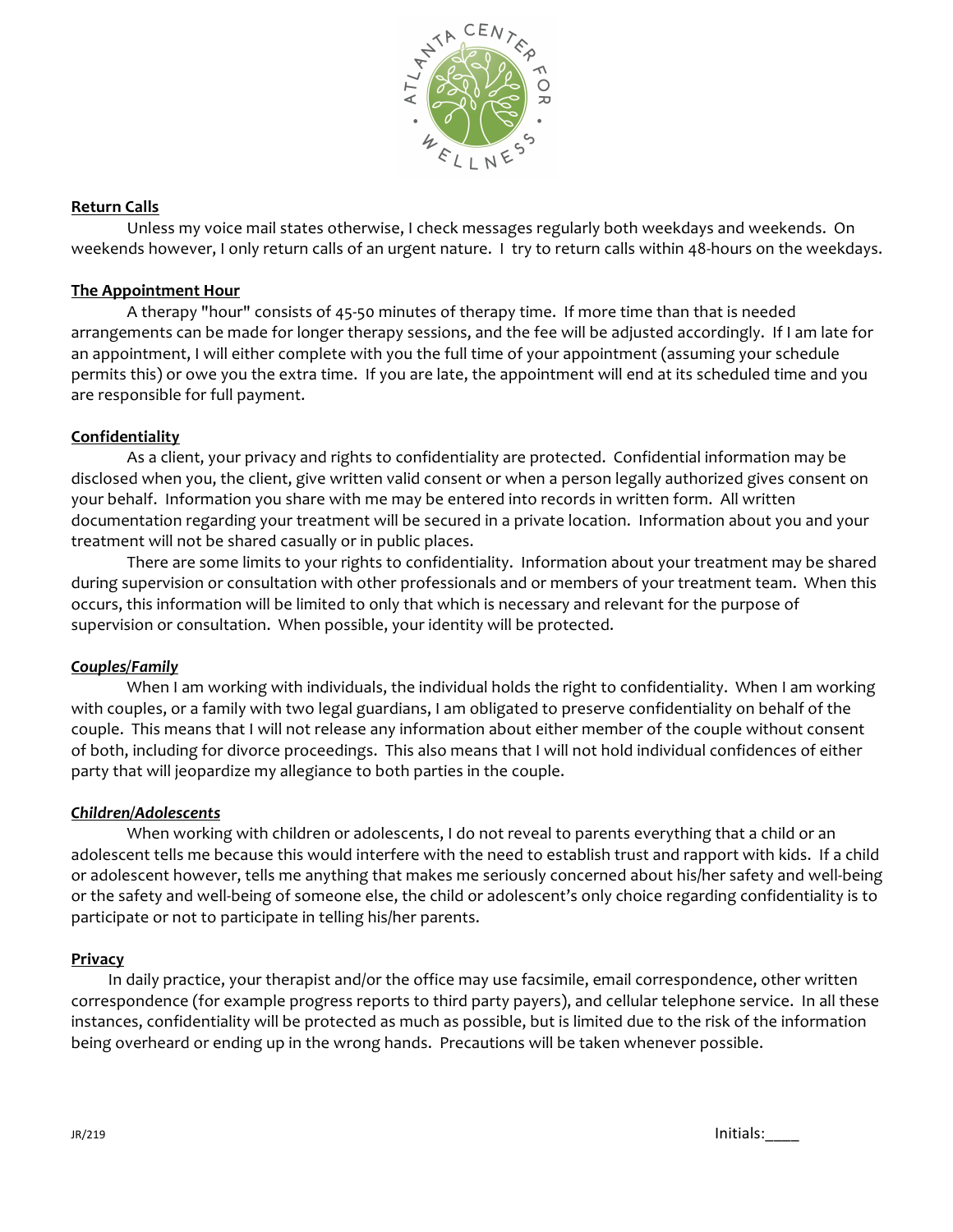

## **Return Calls**

Unless my voice mail states otherwise, I check messages regularly both weekdays and weekends. On weekends however, I only return calls of an urgent nature. I try to return calls within 48-hours on the weekdays.

## **The Appointment Hour**

A therapy "hour" consists of 45-50 minutes of therapy time. If more time than that is needed arrangements can be made for longer therapy sessions, and the fee will be adjusted accordingly. If I am late for an appointment, I will either complete with you the full time of your appointment (assuming your schedule permits this) or owe you the extra time. If you are late, the appointment will end at its scheduled time and you are responsible for full payment.

## **Confidentiality**

As a client, your privacy and rights to confidentiality are protected. Confidential information may be disclosed when you, the client, give written valid consent or when a person legally authorized gives consent on your behalf. Information you share with me may be entered into records in written form. All written documentation regarding your treatment will be secured in a private location. Information about you and your treatment will not be shared casually or in public places.

There are some limits to your rights to confidentiality. Information about your treatment may be shared during supervision or consultation with other professionals and or members of your treatment team. When this occurs, this information will be limited to only that which is necessary and relevant for the purpose of supervision or consultation. When possible, your identity will be protected.

#### *Couples/Family*

When I am working with individuals, the individual holds the right to confidentiality. When I am working with couples, or a family with two legal guardians, I am obligated to preserve confidentiality on behalf of the couple. This means that I will not release any information about either member of the couple without consent of both, including for divorce proceedings. This also means that I will not hold individual confidences of either party that will jeopardize my allegiance to both parties in the couple.

#### *Children/Adolescents*

When working with children or adolescents, I do not reveal to parents everything that a child or an adolescent tells me because this would interfere with the need to establish trust and rapport with kids. If a child or adolescent however, tells me anything that makes me seriously concerned about his/her safety and well-being or the safety and well-being of someone else, the child or adolescent's only choice regarding confidentiality is to participate or not to participate in telling his/her parents.

### **Privacy**

 In daily practice, your therapist and/or the office may use facsimile, email correspondence, other written correspondence (for example progress reports to third party payers), and cellular telephone service. In all these instances, confidentiality will be protected as much as possible, but is limited due to the risk of the information being overheard or ending up in the wrong hands. Precautions will be taken whenever possible.

JR/219 Initials:\_\_\_\_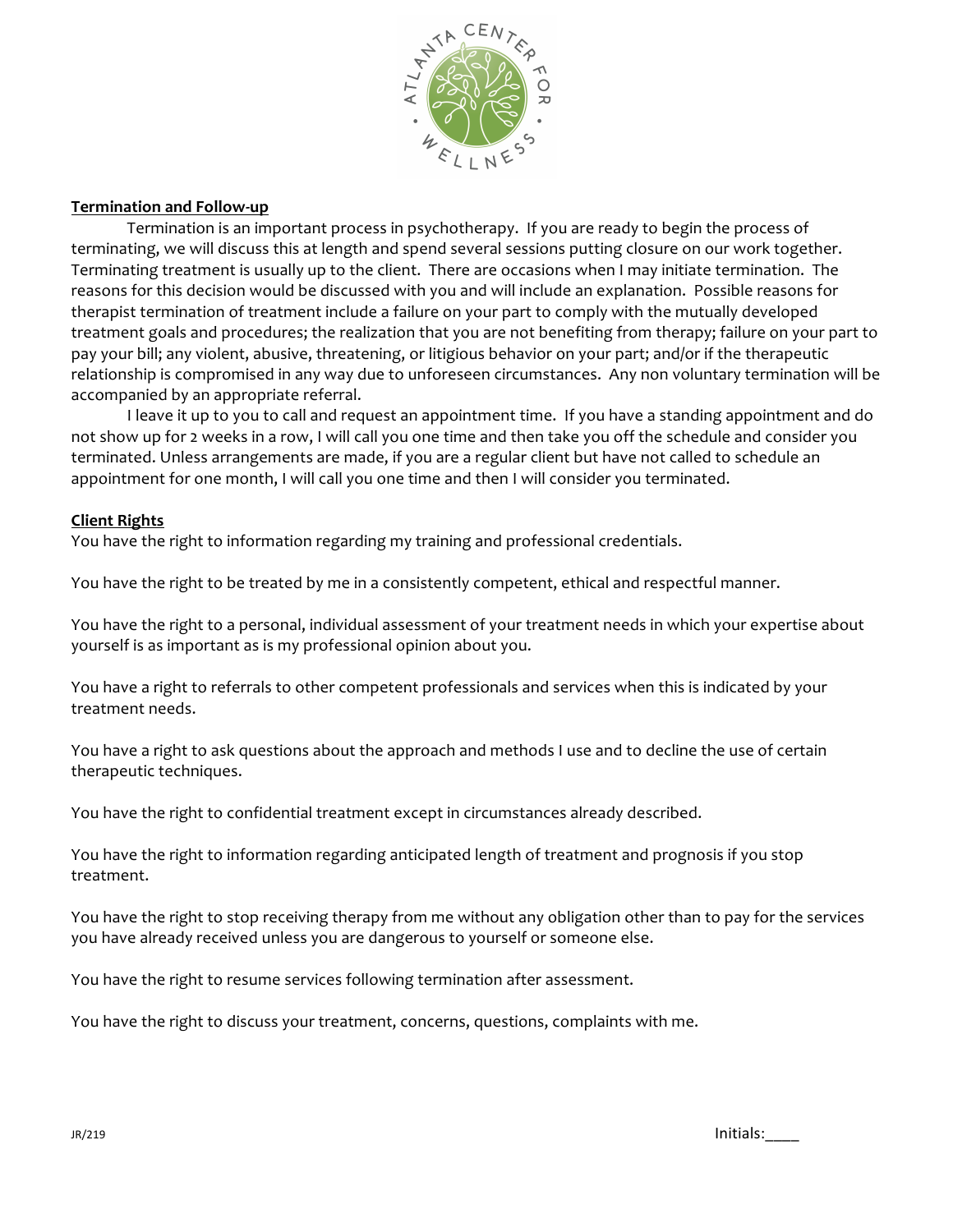

### **Termination and Follow-up**

Termination is an important process in psychotherapy. If you are ready to begin the process of terminating, we will discuss this at length and spend several sessions putting closure on our work together. Terminating treatment is usually up to the client. There are occasions when I may initiate termination. The reasons for this decision would be discussed with you and will include an explanation. Possible reasons for therapist termination of treatment include a failure on your part to comply with the mutually developed treatment goals and procedures; the realization that you are not benefiting from therapy; failure on your part to pay your bill; any violent, abusive, threatening, or litigious behavior on your part; and/or if the therapeutic relationship is compromised in any way due to unforeseen circumstances. Any non voluntary termination will be accompanied by an appropriate referral.

I leave it up to you to call and request an appointment time. If you have a standing appointment and do not show up for 2 weeks in a row, I will call you one time and then take you off the schedule and consider you terminated. Unless arrangements are made, if you are a regular client but have not called to schedule an appointment for one month, I will call you one time and then I will consider you terminated.

#### **Client Rights**

You have the right to information regarding my training and professional credentials.

You have the right to be treated by me in a consistently competent, ethical and respectful manner.

You have the right to a personal, individual assessment of your treatment needs in which your expertise about yourself is as important as is my professional opinion about you.

You have a right to referrals to other competent professionals and services when this is indicated by your treatment needs.

You have a right to ask questions about the approach and methods I use and to decline the use of certain therapeutic techniques.

You have the right to confidential treatment except in circumstances already described.

You have the right to information regarding anticipated length of treatment and prognosis if you stop treatment.

You have the right to stop receiving therapy from me without any obligation other than to pay for the services you have already received unless you are dangerous to yourself or someone else.

You have the right to resume services following termination after assessment.

You have the right to discuss your treatment, concerns, questions, complaints with me.